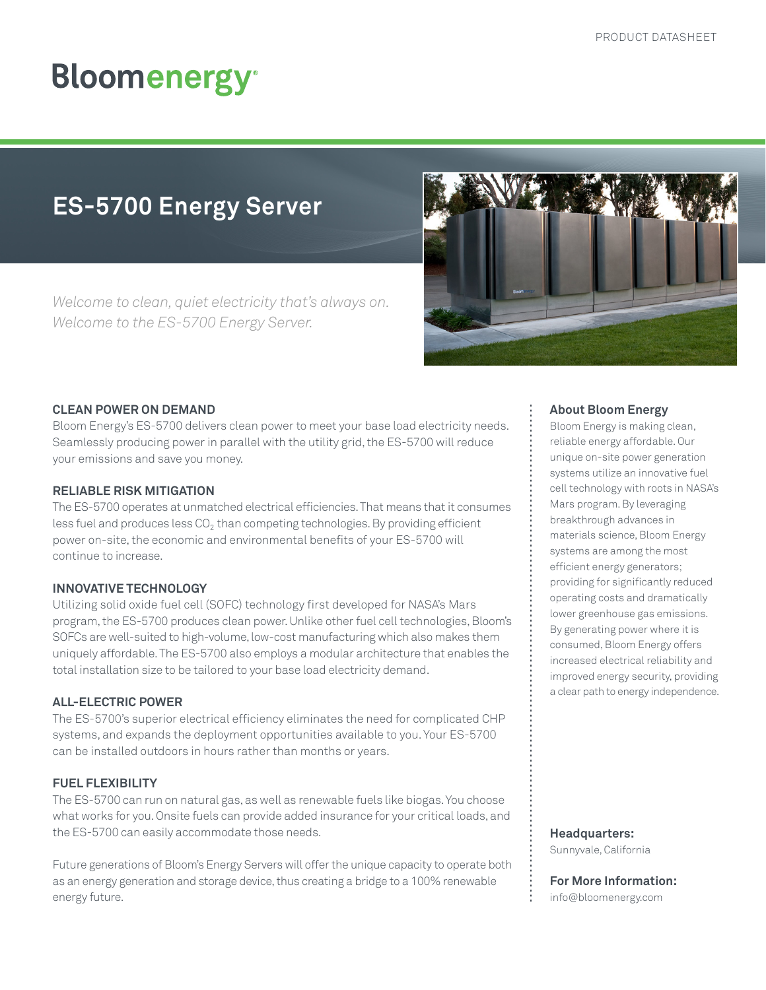# **Bloomenergy**

### **ES-5700 Energy Server**

*Welcome to clean, quiet electricity that's always on. Welcome to the ES-5700 Energy Server.*



#### **CLEAN POWER ON DEMAND**

Bloom Energy's ES-5700 delivers clean power to meet your base load electricity needs. Seamlessly producing power in parallel with the utility grid, the ES-5700 will reduce your emissions and save you money.

#### **RELIABLE RISK MITIGATION**

The ES-5700 operates at unmatched electrical efficiencies. That means that it consumes less fuel and produces less  $CO<sub>2</sub>$  than competing technologies. By providing efficient power on-site, the economic and environmental benefits of your ES-5700 will continue to increase.

#### **INNOVATIVE TECHNOLOGY**

Utilizing solid oxide fuel cell (SOFC) technology first developed for NASA's Mars program, the ES-5700 produces clean power. Unlike other fuel cell technologies, Bloom's SOFCs are well-suited to high-volume, low-cost manufacturing which also makes them uniquely affordable. The ES-5700 also employs a modular architecture that enables the total installation size to be tailored to your base load electricity demand.

#### **ALL-ELECTRIC POWER**

The ES-5700's superior electrical efficiency eliminates the need for complicated CHP systems, and expands the deployment opportunities available to you. Your ES-5700 can be installed outdoors in hours rather than months or years.

#### **FUEL FLEXIBILITY**

The ES-5700 can run on natural gas, as well as renewable fuels like biogas. You choose what works for you. Onsite fuels can provide added insurance for your critical loads, and the ES-5700 can easily accommodate those needs.

Future generations of Bloom's Energy Servers will offer the unique capacity to operate both as an energy generation and storage device, thus creating a bridge to a 100% renewable energy future.

#### **About Bloom Energy**

Bloom Energy is making clean, reliable energy affordable. Our unique on-site power generation systems utilize an innovative fuel cell technology with roots in NASA's Mars program. By leveraging breakthrough advances in materials science, Bloom Energy systems are among the most efficient energy generators; providing for significantly reduced operating costs and dramatically lower greenhouse gas emissions. By generating power where it is consumed, Bloom Energy offers increased electrical reliability and improved energy security, providing a clear path to energy independence.

**Headquarters:** Sunnyvale, California

**For More Information:** info@bloomenergy.com